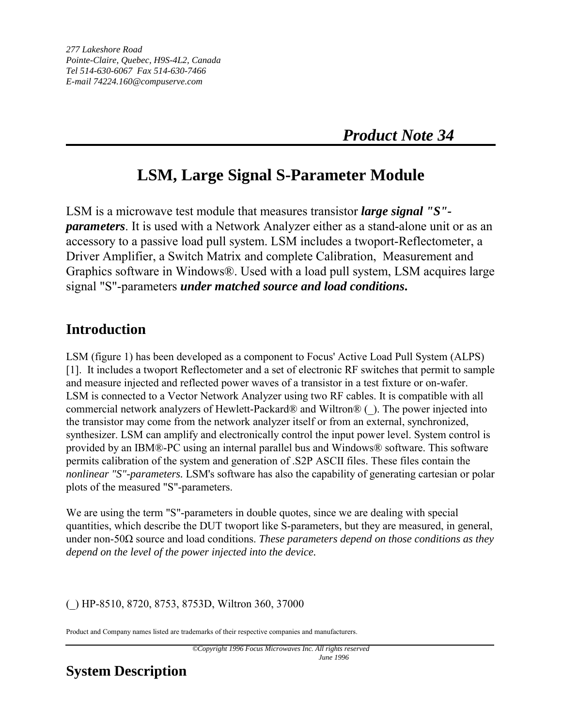# **LSM, Large Signal S-Parameter Module**

LSM is a microwave test module that measures transistor *large signal "S" parameters*. It is used with a Network Analyzer either as a stand-alone unit or as an accessory to a passive load pull system. LSM includes a twoport-Reflectometer, a Driver Amplifier, a Switch Matrix and complete Calibration, Measurement and Graphics software in Windows®. Used with a load pull system, LSM acquires large signal "S"-parameters *under matched source and load conditions***.**

### **Introduction**

LSM (figure 1) has been developed as a component to Focus' Active Load Pull System (ALPS) [1]. It includes a twoport Reflectometer and a set of electronic RF switches that permit to sample and measure injected and reflected power waves of a transistor in a test fixture or on-wafer. LSM is connected to a Vector Network Analyzer using two RF cables. It is compatible with all commercial network analyzers of Hewlett-Packard® and Wiltron® (\_). The power injected into the transistor may come from the network analyzer itself or from an external, synchronized, synthesizer. LSM can amplify and electronically control the input power level. System control is provided by an IBM®-PC using an internal parallel bus and Windows® software. This software permits calibration of the system and generation of .S2P ASCII files. These files contain the *nonlinear "S"-parameters.* LSM's software has also the capability of generating cartesian or polar plots of the measured "S"-parameters.

We are using the term "S"-parameters in double quotes, since we are dealing with special quantities, which describe the DUT twoport like S-parameters, but they are measured, in general, under non-50Ω source and load conditions. *These parameters depend on those conditions as they depend on the level of the power injected into the device.*

#### (\_) HP-8510, 8720, 8753, 8753D, Wiltron 360, 37000

Product and Company names listed are trademarks of their respective companies and manufacturers.

## **System Description**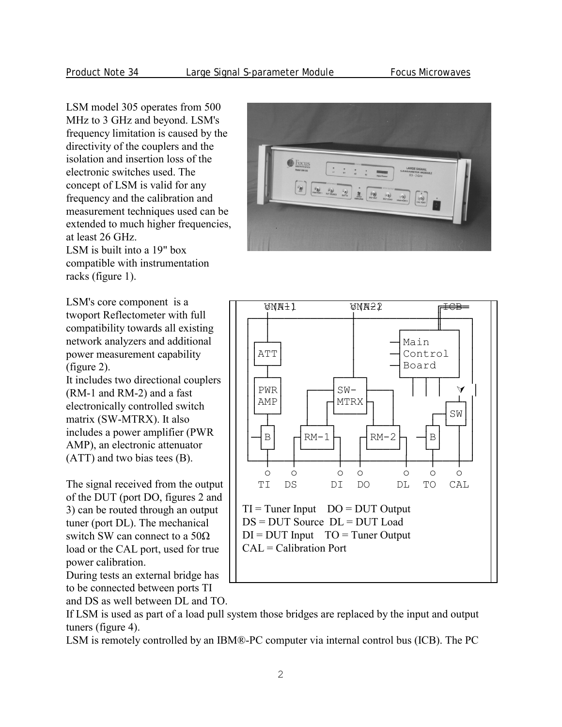LSM model 305 operates from 500 MHz to 3 GHz and beyond. LSM's frequency limitation is caused by the directivity of the couplers and the isolation and insertion loss of the electronic switches used. The concept of LSM is valid for any frequency and the calibration and measurement techniques used can be extended to much higher frequencies, at least 26 GHz. LSM is built into a 19" box compatible with instrumentation racks (figure 1).

LSM's core component is a twoport Reflectometer with full compatibility towards all existing network analyzers and additional power measurement capability (figure 2).

It includes two directional couplers (RM-1 and RM-2) and a fast electronically controlled switch matrix (SW-MTRX). It also includes a power amplifier (PWR AMP), an electronic attenuator (ATT) and two bias tees (B).

The signal received from the output of the DUT (port DO, figures 2 and 3) can be routed through an output tuner (port DL). The mechanical switch SW can connect to a  $50\Omega$ load or the CAL port, used for true power calibration.

During tests an external bridge has to be connected between ports TI

and DS as well between DL and TO.

If LSM is used as part of a load pull system those bridges are replaced by the input and output tuners (figure 4).

LSM is remotely controlled by an IBM®-PC computer via internal control bus (ICB). The PC



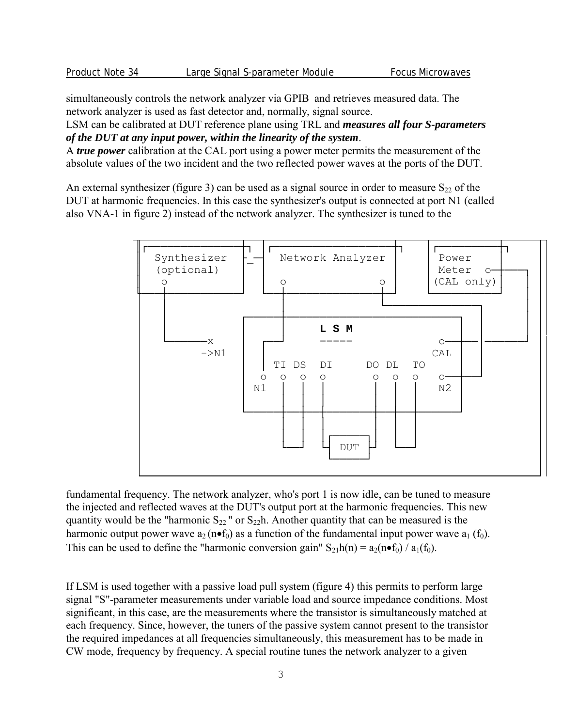simultaneously controls the network analyzer via GPIB and retrieves measured data. The network analyzer is used as fast detector and, normally, signal source.

LSM can be calibrated at DUT reference plane using TRL and *measures all four S-parameters of the DUT at any input power, within the linearity of the system*.

A *true power* calibration at the CAL port using a power meter permits the measurement of the absolute values of the two incident and the two reflected power waves at the ports of the DUT.

An external synthesizer (figure 3) can be used as a signal source in order to measure  $S_{22}$  of the DUT at harmonic frequencies. In this case the synthesizer's output is connected at port N1 (called also VNA-1 in figure 2) instead of the network analyzer. The synthesizer is tuned to the



fundamental frequency. The network analyzer, who's port 1 is now idle, can be tuned to measure the injected and reflected waves at the DUT's output port at the harmonic frequencies. This new quantity would be the "harmonic  $S_{22}$ " or  $S_{22}$ h. Another quantity that can be measured is the harmonic output power wave  $a_2(n \bullet f_0)$  as a function of the fundamental input power wave  $a_1(f_0)$ . This can be used to define the "harmonic conversion gain"  $S_2$ <sub>1</sub>h(n) =  $a_2(n \bullet f_0) / a_1(f_0)$ .

If LSM is used together with a passive load pull system (figure 4) this permits to perform large signal "S"-parameter measurements under variable load and source impedance conditions. Most significant, in this case, are the measurements where the transistor is simultaneously matched at each frequency. Since, however, the tuners of the passive system cannot present to the transistor the required impedances at all frequencies simultaneously, this measurement has to be made in CW mode, frequency by frequency. A special routine tunes the network analyzer to a given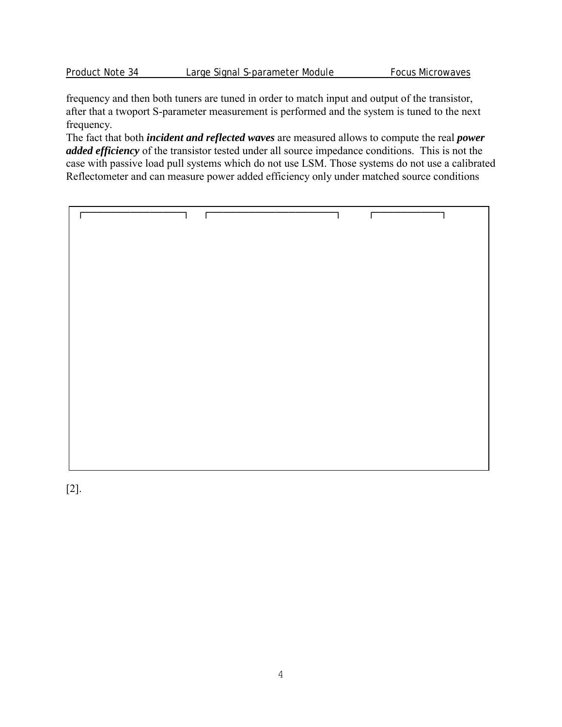frequency and then both tuners are tuned in order to match input and output of the transistor, after that a twoport S-parameter measurement is performed and the system is tuned to the next frequency.

The fact that both *incident and reflected waves* are measured allows to compute the real *power added efficiency* of the transistor tested under all source impedance conditions. This is not the case with passive load pull systems which do not use LSM. Those systems do not use a calibrated Reflectometer and can measure power added efficiency only under matched source conditions

┌───────────────┐ ┌───────────────────┐ ┌──────────┐

[2].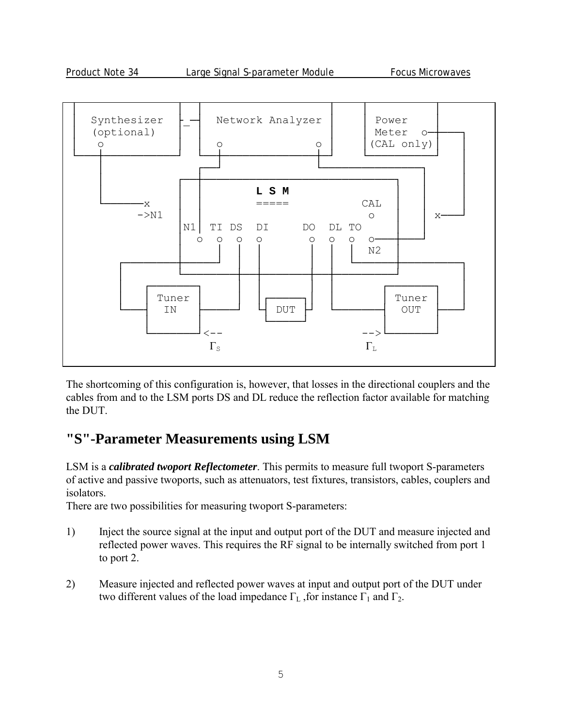

The shortcoming of this configuration is, however, that losses in the directional couplers and the cables from and to the LSM ports DS and DL reduce the reflection factor available for matching the DUT.

### **"S"-Parameter Measurements using LSM**

LSM is a *calibrated twoport Reflectometer*. This permits to measure full twoport S-parameters of active and passive twoports, such as attenuators, test fixtures, transistors, cables, couplers and isolators.

There are two possibilities for measuring twoport S-parameters:

- 1) Inject the source signal at the input and output port of the DUT and measure injected and reflected power waves. This requires the RF signal to be internally switched from port 1 to port 2.
- 2) Measure injected and reflected power waves at input and output port of the DUT under two different values of the load impedance  $\Gamma_L$ , for instance  $\Gamma_1$  and  $\Gamma_2$ .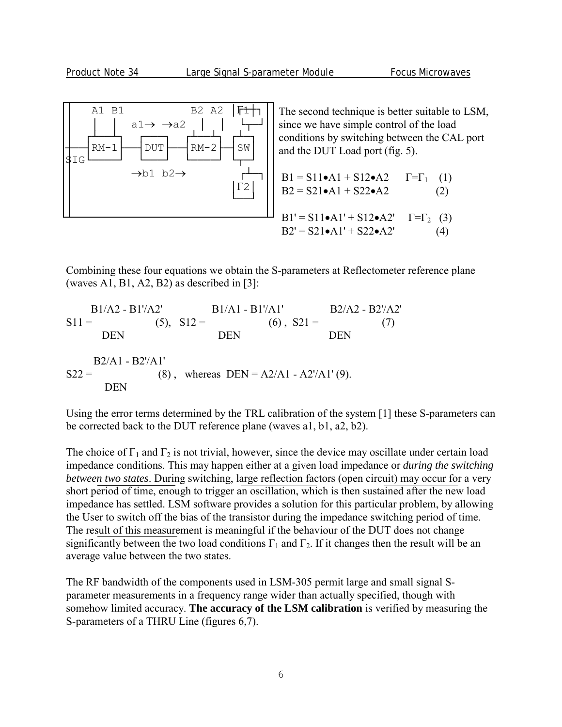

The second technique is better suitable to LSM, since we have simple control of the load conditions by switching between the CAL port and the DUT Load port (fig. 5).

B1 = S11•A1 + S12•A2 
$$
\Gamma = \Gamma_1
$$
 (1)  
\nB2 = S21•A1 + S22•A2 (2)  
\nB1' = S11•A1' + S12•A2'  $\Gamma = \Gamma_2$  (3)  
\nB2' = S21•A1' + S22•A2' (4)

Combining these four equations we obtain the S-parameters at Reflectometer reference plane (waves A1, B1, A2, B2) as described in [3]:

 B1/A2 - B1'/A2' B1/A1 - B1'/A1' B2/A2 - B2'/A2'  $S11 =$  (5),  $S12 =$  (6),  $S21 =$  (7) DEN DEN DEN DEN B2/A1 - B2'/A1'  $S22 =$  (8), whereas DEN = A2/A1 - A2'/A1' (9). DEN

Using the error terms determined by the TRL calibration of the system [1] these S-parameters can be corrected back to the DUT reference plane (waves a1, b1, a2, b2).

The choice of  $\Gamma_1$  and  $\Gamma_2$  is not trivial, however, since the device may oscillate under certain load impedance conditions. This may happen either at a given load impedance or *during the switching between two states*. During switching, large reflection factors (open circuit) may occur for a very short period of time, enough to trigger an oscillation, which is then sustained after the new load impedance has settled. LSM software provides a solution for this particular problem, by allowing the User to switch off the bias of the transistor during the impedance switching period of time. The result of this measurement is meaningful if the behaviour of the DUT does not change significantly between the two load conditions  $\Gamma_1$  and  $\Gamma_2$ . If it changes then the result will be an average value between the two states.

The RF bandwidth of the components used in LSM-305 permit large and small signal Sparameter measurements in a frequency range wider than actually specified, though with somehow limited accuracy. **The accuracy of the LSM calibration** is verified by measuring the S-parameters of a THRU Line (figures 6,7).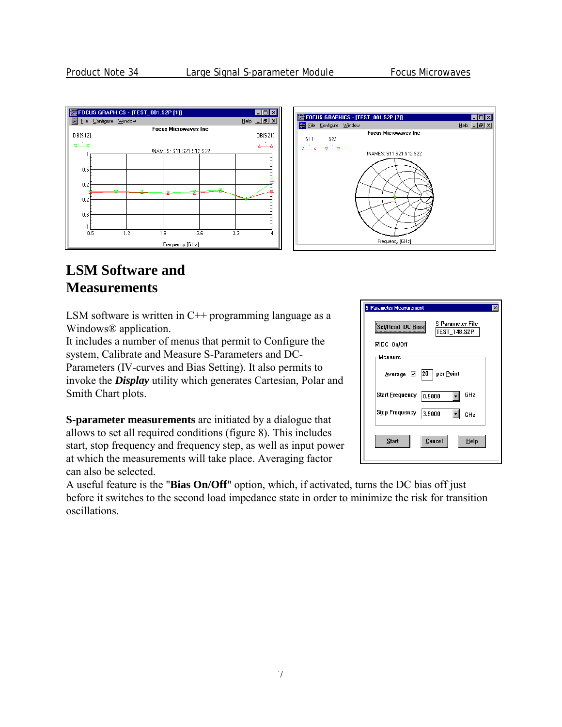

#### **LSM Software and Measurements**

LSM software is written in  $C^{++}$  programming language as a Windows® application.

It includes a number of menus that permit to Configure the system, Calibrate and Measure S-Parameters and DC-Parameters (IV-curves and Bias Setting). It also permits to invoke the *Display* utility which generates Cartesian, Polar and Smith Chart plots.

**S-parameter measurements** are initiated by a dialogue that allows to set all required conditions (figure 8). This includes start, stop frequency and frequency step, as well as input power at which the measurements will take place. Averaging factor can also be selected.

.<br>S-Parameter Measurer S Parameter File Set/Read DC Bias **TEST 148.S2P ⊡DC On/Off** Measure  $\boxed{20}$  per Point Average ⊠ Start Erequency 0.5000  $\vert \cdot \vert$ GHz Stop Frequency 3.5000  $\mathbf{I}$  GHz Cancel Start  $HeIp$ 

A useful feature is the "**Bias On/Off**" option, which, if activated, turns the DC bias off just before it switches to the second load impedance state in order to minimize the risk for transition oscillations.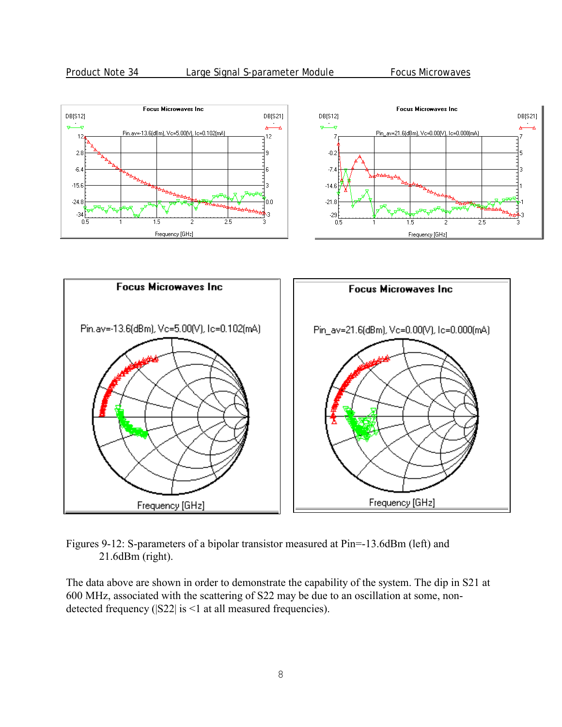

Figures 9-12: S-parameters of a bipolar transistor measured at Pin=-13.6dBm (left) and 21.6dBm (right).

The data above are shown in order to demonstrate the capability of the system. The dip in S21 at 600 MHz, associated with the scattering of S22 may be due to an oscillation at some, nondetected frequency (|S22| is <1 at all measured frequencies).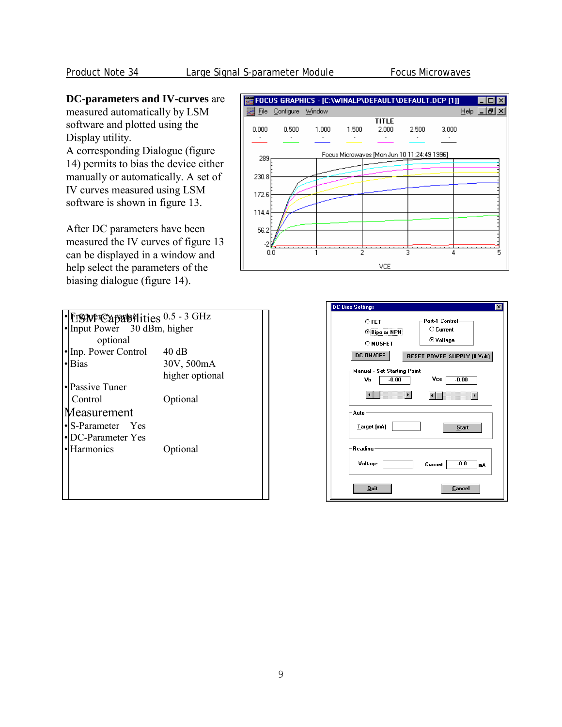#### **DC-parameters and IV-curves** are

measured automatically by LSM software and plotted using the Display utility.

A corresponding Dialogue (figure 14) permits to bias the device either manually or automatically. A set of IV curves measured using LSM software is shown in figure 13.

After DC parameters have been measured the IV curves of figure 13 can be displayed in a window and help select the parameters of the biasing dialogue (figure 14).



| L'ISIN PIC apudie dities 0.5 - 3 GHz |                 |
|--------------------------------------|-----------------|
| Input Power 30 dBm, higher           |                 |
| optional                             |                 |
| Inp. Power Control                   | 40 dB           |
| Bias                                 | 30V, 500mA      |
|                                      | higher optional |
| Passive Tuner                        |                 |
| Control                              | Optional        |
| Aeasurement                          |                 |
| S-Parameter Yes                      |                 |
| DC-Parameter Yes                     |                 |
| Harmonics                            | Optional        |
|                                      |                 |
|                                      |                 |
|                                      |                 |
|                                      |                 |

| <b>DC Bias Settings</b><br>×                                                                                                                       |  |
|----------------------------------------------------------------------------------------------------------------------------------------------------|--|
| Port-1 Control-<br>$C$ FET<br>C Current<br><b><i>C</i></b> Bipolar NPN<br>⊙ Voltage<br><b>O MOSFET</b><br>DC ON/OFF<br>RESET POWER SUPPLY (0 Volt) |  |
| Manual - Set Starting Point<br>Vce<br>$-0.00$<br>$-0.00$<br>٧b                                                                                     |  |
| Auto<br><b>Larget</b> [mA]<br><b>Start</b>                                                                                                         |  |
| Reading<br>Voltage<br>$-0.0$<br>Current<br>mÅ                                                                                                      |  |
| <b>Quit</b><br>Cancel                                                                                                                              |  |